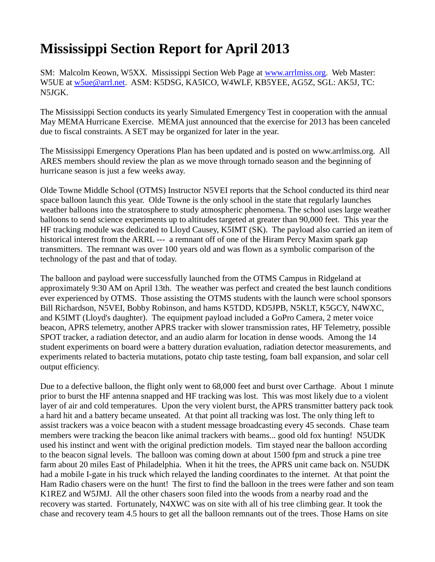## **Mississippi Section Report for April 2013**

SM: Malcolm Keown, W5XX. Mississippi Section Web Page at www.arrlmiss.org. Web Master: W5UE at [w5ue@arrl.net.](mailto:w5ue@arrl.net) ASM: K5DSG, KA5ICO, W4WLF, KB5YEE, AG5Z, SGL: AK5J, TC: N5JGK.

The Mississippi Section conducts its yearly Simulated Emergency Test in cooperation with the annual May MEMA Hurricane Exercise. MEMA just announced that the exercise for 2013 has been canceled due to fiscal constraints. A SET may be organized for later in the year.

The Mississippi Emergency Operations Plan has been updated and is posted on [www.arrlmiss.org.](http://www.arrlmiss.org/) All ARES members should review the plan as we move through tornado season and the beginning of hurricane season is just a few weeks away.

Olde Towne Middle School (OTMS) Instructor N5VEI reports that the School conducted its third near space balloon launch this year. Olde Towne is the only school in the state that regularly launches weather balloons into the stratosphere to study atmospheric phenomena. The school uses large weather balloons to send science experiments up to altitudes targeted at greater than 90,000 feet. This year the HF tracking module was dedicated to Lloyd Causey, K5IMT (SK). The payload also carried an item of historical interest from the ARRL --- a remnant off of one of the Hiram Percy Maxim spark gap transmitters. The remnant was over 100 years old and was flown as a symbolic comparison of the technology of the past and that of today.

The balloon and payload were successfully launched from the OTMS Campus in Ridgeland at approximately 9:30 AM on April 13th. The weather was perfect and created the best launch conditions ever experienced by OTMS. Those assisting the OTMS students with the launch were school sponsors Bill Richardson, N5VEI, Bobby Robinson, and hams K5TDD, KD5JPB, N5KLT, K5GCY, N4WXC, and K5IMT (Lloyd's daughter). The equipment payload included a GoPro Camera, 2 meter voice beacon, APRS telemetry, another APRS tracker with slower transmission rates, HF Telemetry, possible SPOT tracker, a radiation detector, and an audio alarm for location in dense woods. Among the 14 student experiments on board were a battery duration evaluation, radiation detector measurements, and experiments related to bacteria mutations, potato chip taste testing, foam ball expansion, and solar cell output efficiency.

Due to a defective balloon, the flight only went to 68,000 feet and burst over Carthage. About 1 minute prior to burst the HF antenna snapped and HF tracking was lost. This was most likely due to a violent layer of air and cold temperatures. Upon the very violent burst, the APRS transmitter battery pack took a hard hit and a battery became unseated. At that point all tracking was lost. The only thing left to assist trackers was a voice beacon with a student message broadcasting every 45 seconds. Chase team members were tracking the beacon like animal trackers with beams... good old fox hunting! N5UDK used his instinct and went with the original prediction models. Tim stayed near the balloon according to the beacon signal levels. The balloon was coming down at about 1500 fpm and struck a pine tree farm about 20 miles East of Philadelphia. When it hit the trees, the APRS unit came back on. N5UDK had a mobile I-gate in his truck which relayed the landing coordinates to the internet. At that point the Ham Radio chasers were on the hunt! The first to find the balloon in the trees were father and son team K1REZ and W5JMJ. All the other chasers soon filed into the woods from a nearby road and the recovery was started. Fortunately, N4XWC was on site with all of his tree climbing gear. It took the chase and recovery team 4.5 hours to get all the balloon remnants out of the trees. Those Hams on site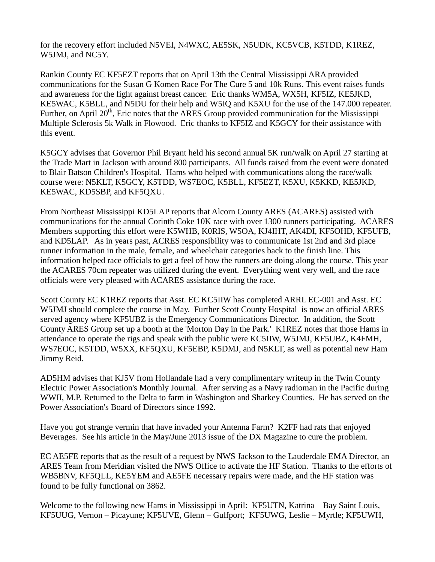for the recovery effort included N5VEI, N4WXC, AE5SK, N5UDK, KC5VCB, K5TDD, K1REZ, W5JMJ, and NC5Y.

Rankin County EC KF5EZT reports that on April 13th the Central Mississippi ARA provided communications for the Susan G Komen Race For The Cure 5 and 10k Runs. This event raises funds and awareness for the fight against breast cancer. Eric thanks WM5A, WX5H, KF5IZ, KE5JKD, KE5WAC, K5BLL, and N5DU for their help and W5IQ and K5XU for the use of the 147.000 repeater. Further, on April  $20<sup>th</sup>$ , Eric notes that the ARES Group provided communication for the Mississippi Multiple Sclerosis 5k Walk in Flowood. Eric thanks to KF5IZ and K5GCY for their assistance with this event.

K5GCY advises that Governor Phil Bryant held his second annual 5K run/walk on April 27 starting at the Trade Mart in Jackson with around 800 participants. All funds raised from the event were donated to Blair Batson Children's Hospital. Hams who helped with communications along the race/walk course were: N5KLT, K5GCY, K5TDD, WS7EOC, K5BLL, KF5EZT, K5XU, K5KKD, KE5JKD, KE5WAC, KD5SBP, and KF5QXU.

From Northeast Mississippi KD5LAP reports that Alcorn County ARES (ACARES) assisted with communications for the annual Corinth Coke 10K race with over 1300 runners participating. ACARES Members supporting this effort were K5WHB, K0RIS, W5OA, KJ4IHT, AK4DI, KF5OHD, KF5UFB, and KD5LAP. As in years past, ACRES responsibility was to communicate 1st 2nd and 3rd place runner information in the male, female, and wheelchair categories back to the finish line. This information helped race officials to get a feel of how the runners are doing along the course. This year the ACARES 70cm repeater was utilized during the event. Everything went very well, and the race officials were very pleased with ACARES assistance during the race.

Scott County EC K1REZ reports that Asst. EC KC5IIW has completed ARRL EC-001 and Asst. EC W5JMJ should complete the course in May. Further Scott County Hospital is now an official ARES served agency where KF5UBZ is the Emergency Communications Director. In addition, the Scott County ARES Group set up a booth at the 'Morton Day in the Park.' K1REZ notes that those Hams in attendance to operate the rigs and speak with the public were KC5IIW, W5JMJ, KF5UBZ, K4FMH, WS7EOC, K5TDD, W5XX, KF5QXU, KF5EBP, K5DMJ, and N5KLT, as well as potential new Ham Jimmy Reid.

AD5HM advises that KJ5V from Hollandale had a very complimentary writeup in the Twin County Electric Power Association's Monthly Journal. After serving as a Navy radioman in the Pacific during WWII, M.P. Returned to the Delta to farm in Washington and Sharkey Counties. He has served on the Power Association's Board of Directors since 1992.

Have you got strange vermin that have invaded your Antenna Farm? K2FF had rats that enjoyed Beverages. See his article in the May/June 2013 issue of the DX Magazine to cure the problem.

EC AE5FE reports that as the result of a request by NWS Jackson to the Lauderdale EMA Director, an ARES Team from Meridian visited the NWS Office to activate the HF Station. Thanks to the efforts of WB5BNV, KF5QLL, KE5YEM and AE5FE necessary repairs were made, and the HF station was found to be fully functional on 3862.

Welcome to the following new Hams in Mississippi in April: KF5UTN, Katrina – Bay Saint Louis, KF5UUG, Vernon – Picayune; KF5UVE, Glenn – Gulfport; KF5UWG, Leslie – Myrtle; KF5UWH,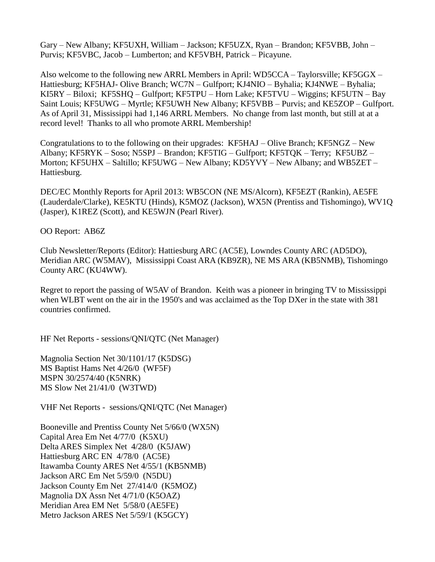Gary – New Albany; KF5UXH, William – Jackson; KF5UZX, Ryan – Brandon; KF5VBB, John – Purvis; KF5VBC, Jacob – Lumberton; and KF5VBH, Patrick – Picayune.

Also welcome to the following new ARRL Members in April: WD5CCA – Taylorsville; KF5GGX – Hattiesburg; KF5HAJ- Olive Branch; WC7N – Gulfport; KJ4NIO – Byhalia; KJ4NWE – Byhalia; KI5RY – Biloxi; KF5SHQ – Gulfport; KF5TPU – Horn Lake; KF5TVU – Wiggins; KF5UTN – Bay Saint Louis; KF5UWG – Myrtle; KF5UWH New Albany; KF5VBB – Purvis; and KE5ZOP – Gulfport. As of April 31, Mississippi had 1,146 ARRL Members. No change from last month, but still at at a record level! Thanks to all who promote ARRL Membership!

Congratulations to to the following on their upgrades: KF5HAJ – Olive Branch; KF5NGZ – New Albany; KF5RYK – Soso; N5SPJ – Brandon; KF5TIG – Gulfport; KF5TQK – Terry; KF5UBZ – Morton; KF5UHX – Saltillo; KF5UWG – New Albany; KD5YVY – New Albany; and WB5ZET – Hattiesburg.

DEC/EC Monthly Reports for April 2013: WB5CON (NE MS/Alcorn), KF5EZT (Rankin), AE5FE (Lauderdale/Clarke), KE5KTU (Hinds), K5MOZ (Jackson), WX5N (Prentiss and Tishomingo), WV1Q (Jasper), K1REZ (Scott), and KE5WJN (Pearl River).

OO Report: AB6Z

Club Newsletter/Reports (Editor): Hattiesburg ARC (AC5E), Lowndes County ARC (AD5DO), Meridian ARC (W5MAV), Mississippi Coast ARA (KB9ZR), NE MS ARA (KB5NMB), Tishomingo County ARC (KU4WW).

Regret to report the passing of W5AV of Brandon. Keith was a pioneer in bringing TV to Mississippi when WLBT went on the air in the 1950's and was acclaimed as the Top DXer in the state with 381 countries confirmed.

HF Net Reports - sessions/QNI/QTC (Net Manager)

Magnolia Section Net 30/1101/17 (K5DSG) MS Baptist Hams Net 4/26/0 (WF5F) MSPN 30/2574/40 (K5NRK) MS Slow Net 21/41/0 (W3TWD)

VHF Net Reports - sessions/QNI/QTC (Net Manager)

Booneville and Prentiss County Net 5/66/0 (WX5N) Capital Area Em Net 4/77/0 (K5XU) Delta ARES Simplex Net 4/28/0 (K5JAW) Hattiesburg ARC EN 4/78/0 (AC5E) Itawamba County ARES Net 4/55/1 (KB5NMB) Jackson ARC Em Net 5/59/0 (N5DU) Jackson County Em Net 27/414/0 (K5MOZ) Magnolia DX Assn Net 4/71/0 (K5OAZ) Meridian Area EM Net 5/58/0 (AE5FE) Metro Jackson ARES Net 5/59/1 (K5GCY)